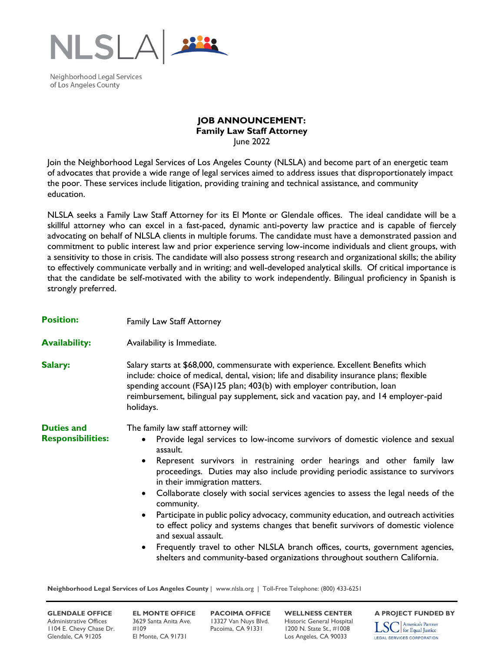

Neighborhood Legal Services of Los Angeles County

## **JOB ANNOUNCEMENT: Family Law Staff Attorney** June 2022

Join the Neighborhood Legal Services of Los Angeles County (NLSLA) and become part of an energetic team of advocates that provide a wide range of legal services aimed to address issues that disproportionately impact the poor. These services include litigation, providing training and technical assistance, and community education.

NLSLA seeks a Family Law Staff Attorney for its El Monte or Glendale offices. The ideal candidate will be a skillful attorney who can excel in a fast-paced, dynamic anti-poverty law practice and is capable of fiercely advocating on behalf of NLSLA clients in multiple forums. The candidate must have a demonstrated passion and commitment to public interest law and prior experience serving low-income individuals and client groups, with a sensitivity to those in crisis. The candidate will also possess strong research and organizational skills; the ability to effectively communicate verbally and in writing; and well-developed analytical skills. Of critical importance is that the candidate be self-motivated with the ability to work independently. Bilingual proficiency in Spanish is strongly preferred.

| <b>Position:</b>                              | Family Law Staff Attorney                                                                                                                                                                                                                                                                                                                                                                                                                                                                                                                                                                                                                                                                                                                                                                                                                                     |
|-----------------------------------------------|---------------------------------------------------------------------------------------------------------------------------------------------------------------------------------------------------------------------------------------------------------------------------------------------------------------------------------------------------------------------------------------------------------------------------------------------------------------------------------------------------------------------------------------------------------------------------------------------------------------------------------------------------------------------------------------------------------------------------------------------------------------------------------------------------------------------------------------------------------------|
| <b>Availability:</b>                          | Availability is Immediate.                                                                                                                                                                                                                                                                                                                                                                                                                                                                                                                                                                                                                                                                                                                                                                                                                                    |
| Salary:                                       | Salary starts at \$68,000, commensurate with experience. Excellent Benefits which<br>include: choice of medical, dental, vision; life and disability insurance plans; flexible<br>spending account (FSA)125 plan; 403(b) with employer contribution, loan<br>reimbursement, bilingual pay supplement, sick and vacation pay, and 14 employer-paid<br>holidays.                                                                                                                                                                                                                                                                                                                                                                                                                                                                                                |
| <b>Duties and</b><br><b>Responsibilities:</b> | The family law staff attorney will:<br>Provide legal services to low-income survivors of domestic violence and sexual<br>$\bullet$<br>assault.<br>Represent survivors in restraining order hearings and other family law<br>٠<br>proceedings. Duties may also include providing periodic assistance to survivors<br>in their immigration matters.<br>Collaborate closely with social services agencies to assess the legal needs of the<br>$\bullet$<br>community.<br>Participate in public policy advocacy, community education, and outreach activities<br>$\bullet$<br>to effect policy and systems changes that benefit survivors of domestic violence<br>and sexual assault.<br>Frequently travel to other NLSLA branch offices, courts, government agencies,<br>$\bullet$<br>shelters and community-based organizations throughout southern California. |

**Neighborhood Legal Services of Los Angeles County** | www.nlsla.org | Toll-Free Telephone: (800) 433-6251

Administrative Offices 3629 Santa Anita Ave. 13327 Van Nuys Blvd. Historic General Hospital<br>1104 E. Chevy Chase Dr. #109 Pacoima, CA 91331 1200 N. State St., #1008 1104 E. Chevy Chase Dr. #109 Pacoima, CA 91331 1200 N. State St., #1008 Glendale, CA 91205 El Monte, CA 91731 Los Angeles, CA 90033

**GLENDALE OFFICE EL MONTE OFFICE PACOIMA OFFICE WELLNESS CENTER** A PROJECT FUNDED BY<br>Administrative Offices 3629 Santa Anita Ave. 13327 Van Nuys Blvd. Historic General Hospital **Trangel America's Partner**